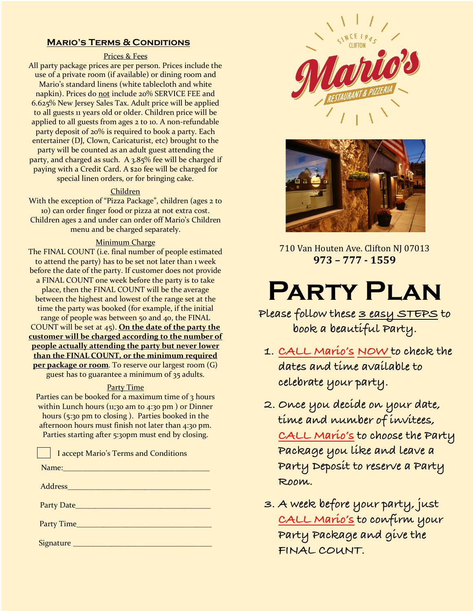#### **Mario's Terms & Conditions**

#### Prices & Fees

All party package prices are per person. Prices include the use of a private room (if available) or dining room and Mario's standard linens (white tablecloth and white napkin). Prices do not include 20% SERVICE FEE and 6.625% New Jersey Sales Tax. Adult price will be applied to all guests 11 years old or older. Children price will be applied to all guests from ages 2 to 10. A non-refundable party deposit of 20% is required to book a party. Each entertainer (DJ, Clown, Caricaturist, etc) brought to the party will be counted as an adult guest attending the party, and charged as such. A 3.85% fee will be charged if paying with a Credit Card. A \$20 fee will be charged for special linen orders, or for bringing cake.

#### Children

With the exception of "Pizza Package", children (ages 2 to 10) can order finger food or pizza at not extra cost. Children ages 2 and under can order off Mario's Children menu and be charged separately.

#### **Minimum Charge**

The FINAL COUNT (i.e. final number of people estimated to attend the party) has to be set not later than 1 week before the date of the party. If customer does not provide a FINAL COUNT one week before the party is to take place, then the FINAL COUNT will be the average between the highest and lowest of the range set at the time the party was booked (for example, if the initial range of people was between 50 and 40, the FINAL COUNT will be set at 45). **On the date of the party the customer will be charged according to the number of people actually attending the party but never lower than the FINAL COUNT, or the minimum required per package or room**. To reserve our largest room (G) guest has to guarantee a minimum of 35 adults.

#### Party Time

Parties can be booked for a maximum time of 3 hours within Lunch hours ( $11$ ;30 am to  $4$ :30 pm) or Dinner hours (5:30 pm to closing ). Parties booked in the afternoon hours must finish not later than 4:30 pm. Parties starting after 5:30pm must end by closing.

| I accept Mario's Terms and Conditions                                                                                                                                                                                         |
|-------------------------------------------------------------------------------------------------------------------------------------------------------------------------------------------------------------------------------|
| Name: Name and the state of the state of the state of the state of the state of the state of the state of the                                                                                                                 |
| Address Andrew Management of the Second Second Second Second Second Second Second Second Second Second Second Second Second Second Second Second Second Second Second Second Second Second Second Second Second Second Second |
|                                                                                                                                                                                                                               |
| Party Time                                                                                                                                                                                                                    |
|                                                                                                                                                                                                                               |





710 Van Houten Ave. Clifton NJ 07013 **973 – 777 - 1559**

# **Party Plan**

**Please follow these 3 easy STEPS to book a beautiful Party.**

- **1. CALL Mario's NOW to check the dates and time available to celebrate your party.**
- **2. Once you decide on your date, time and number of invitees, CALL Mario's to choose the Party Package you like and leave a Party Deposit to reserve a Party Room.**
- **3. A week before your party, just CALL Mario's to confirm your Party Package and give the FINAL COUNT.**